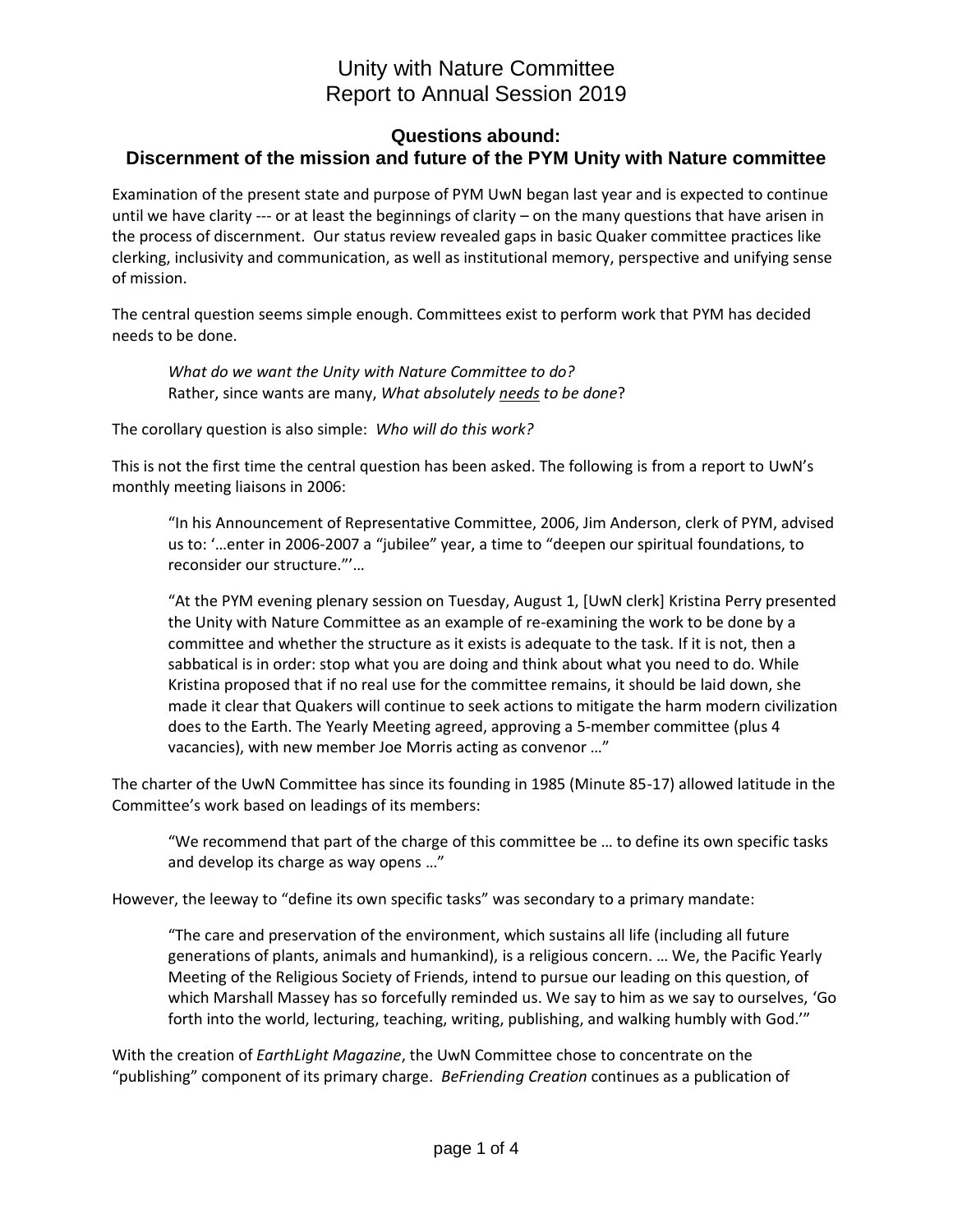#### **Questions abound: Discernment of the mission and future of the PYM Unity with Nature committee**

Examination of the present state and purpose of PYM UwN began last year and is expected to continue until we have clarity --- or at least the beginnings of clarity  $-$  on the many questions that have arisen in the process of discernment. Our status review revealed gaps in basic Quaker committee practices like clerking, inclusivity and communication, as well as institutional memory, perspective and unifying sense of mission.

The central question seems simple enough. Committees exist to perform work that PYM has decided needs to be done.

*What do we want the Unity with Nature Committee to do?* Rather, since wants are many, *What absolutely needs to be done*?

The corollary question is also simple: *Who will do this work?*

This is not the first time the central question has been asked. The following is from a report to UwN's monthly meeting liaisons in 2006:

"In his Announcement of Representative Committee, 2006, Jim Anderson, clerk of PYM, advised us to: '…enter in 2006-2007 a "jubilee" year, a time to "deepen our spiritual foundations, to reconsider our structure."'…

"At the PYM evening plenary session on Tuesday, August 1, [UwN clerk] Kristina Perry presented the Unity with Nature Committee as an example of re-examining the work to be done by a committee and whether the structure as it exists is adequate to the task. If it is not, then a sabbatical is in order: stop what you are doing and think about what you need to do. While Kristina proposed that if no real use for the committee remains, it should be laid down, she made it clear that Quakers will continue to seek actions to mitigate the harm modern civilization does to the Earth. The Yearly Meeting agreed, approving a 5-member committee (plus 4 vacancies), with new member Joe Morris acting as convenor …"

The charter of the UwN Committee has since its founding in 1985 (Minute 85-17) allowed latitude in the Committee's work based on leadings of its members:

"We recommend that part of the charge of this committee be … to define its own specific tasks and develop its charge as way opens …"

However, the leeway to "define its own specific tasks" was secondary to a primary mandate:

"The care and preservation of the environment, which sustains all life (including all future generations of plants, animals and humankind), is a religious concern. … We, the Pacific Yearly Meeting of the Religious Society of Friends, intend to pursue our leading on this question, of which Marshall Massey has so forcefully reminded us. We say to him as we say to ourselves, 'Go forth into the world, lecturing, teaching, writing, publishing, and walking humbly with God.'"

With the creation of *EarthLight Magazine*, the UwN Committee chose to concentrate on the "publishing" component of its primary charge. *BeFriending Creation* continues as a publication of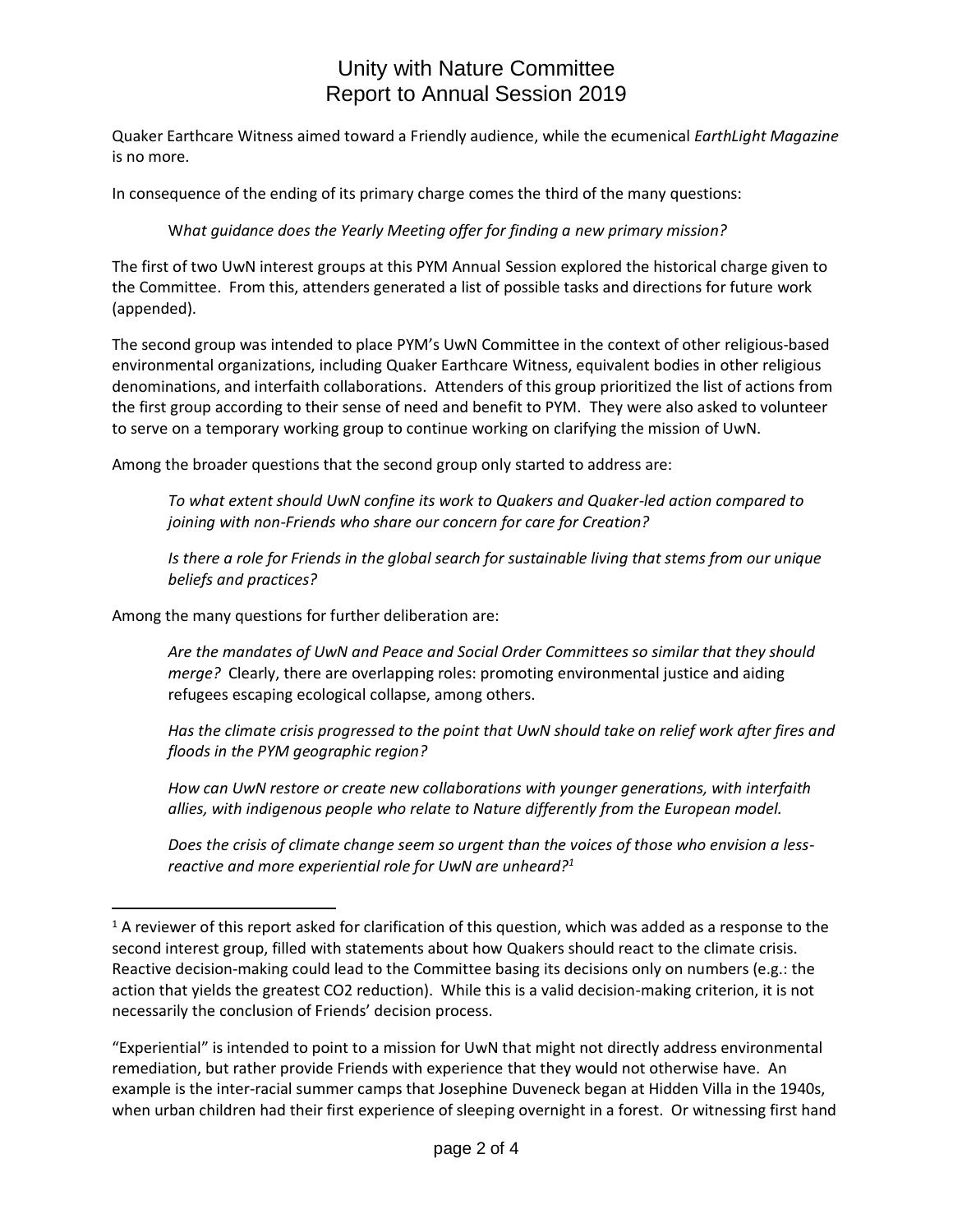Quaker Earthcare Witness aimed toward a Friendly audience, while the ecumenical *EarthLight Magazine* is no more.

In consequence of the ending of its primary charge comes the third of the many questions:

### W*hat guidance does the Yearly Meeting offer for finding a new primary mission?*

The first of two UwN interest groups at this PYM Annual Session explored the historical charge given to the Committee. From this, attenders generated a list of possible tasks and directions for future work (appended).

The second group was intended to place PYM's UwN Committee in the context of other religious-based environmental organizations, including Quaker Earthcare Witness, equivalent bodies in other religious denominations, and interfaith collaborations. Attenders of this group prioritized the list of actions from the first group according to their sense of need and benefit to PYM. They were also asked to volunteer to serve on a temporary working group to continue working on clarifying the mission of UwN.

Among the broader questions that the second group only started to address are:

*To what extent should UwN confine its work to Quakers and Quaker-led action compared to joining with non-Friends who share our concern for care for Creation?* 

*Is there a role for Friends in the global search for sustainable living that stems from our unique beliefs and practices?* 

Among the many questions for further deliberation are:

 $\overline{a}$ 

*Are the mandates of UwN and Peace and Social Order Committees so similar that they should merge?* Clearly, there are overlapping roles: promoting environmental justice and aiding refugees escaping ecological collapse, among others.

*Has the climate crisis progressed to the point that UwN should take on relief work after fires and floods in the PYM geographic region?*

*How can UwN restore or create new collaborations with younger generations, with interfaith allies, with indigenous people who relate to Nature differently from the European model.*

*Does the crisis of climate change seem so urgent than the voices of those who envision a lessreactive and more experiential role for UwN are unheard?<sup>1</sup>*

<sup>&</sup>lt;sup>1</sup> A reviewer of this report asked for clarification of this question, which was added as a response to the second interest group, filled with statements about how Quakers should react to the climate crisis. Reactive decision-making could lead to the Committee basing its decisions only on numbers (e.g.: the action that yields the greatest CO2 reduction). While this is a valid decision-making criterion, it is not necessarily the conclusion of Friends' decision process.

<sup>&</sup>quot;Experiential" is intended to point to a mission for UwN that might not directly address environmental remediation, but rather provide Friends with experience that they would not otherwise have. An example is the inter-racial summer camps that Josephine Duveneck began at Hidden Villa in the 1940s, when urban children had their first experience of sleeping overnight in a forest. Or witnessing first hand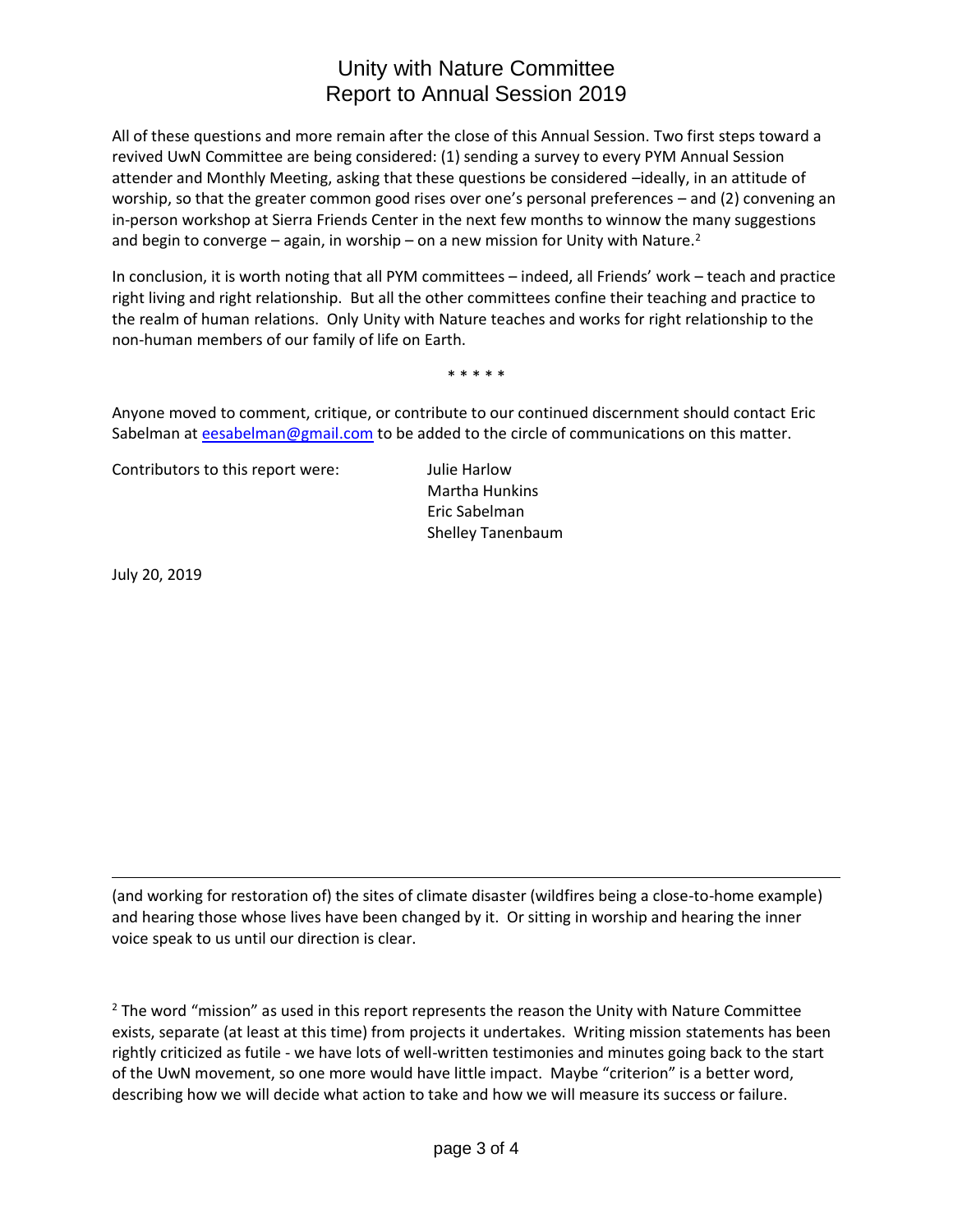All of these questions and more remain after the close of this Annual Session. Two first steps toward a revived UwN Committee are being considered: (1) sending a survey to every PYM Annual Session attender and Monthly Meeting, asking that these questions be considered –ideally, in an attitude of worship, so that the greater common good rises over one's personal preferences – and (2) convening an in-person workshop at Sierra Friends Center in the next few months to winnow the many suggestions and begin to converge – again, in worship – on a new mission for Unity with Nature.<sup>2</sup>

In conclusion, it is worth noting that all PYM committees – indeed, all Friends' work – teach and practice right living and right relationship. But all the other committees confine their teaching and practice to the realm of human relations. Only Unity with Nature teaches and works for right relationship to the non-human members of our family of life on Earth.

\* \* \* \* \*

Anyone moved to comment, critique, or contribute to our continued discernment should contact Eric Sabelman at [eesabelman@gmail.com](mailto:eesabelman@gmail.com) to be added to the circle of communications on this matter.

Contributors to this report were: Julie Harlow

Martha Hunkins Eric Sabelman Shelley Tanenbaum

July 20, 2019

 $\overline{a}$ 

(and working for restoration of) the sites of climate disaster (wildfires being a close-to-home example) and hearing those whose lives have been changed by it. Or sitting in worship and hearing the inner voice speak to us until our direction is clear.

 $2$  The word "mission" as used in this report represents the reason the Unity with Nature Committee exists, separate (at least at this time) from projects it undertakes. Writing mission statements has been rightly criticized as futile - we have lots of well-written testimonies and minutes going back to the start of the UwN movement, so one more would have little impact. Maybe "criterion" is a better word, describing how we will decide what action to take and how we will measure its success or failure.